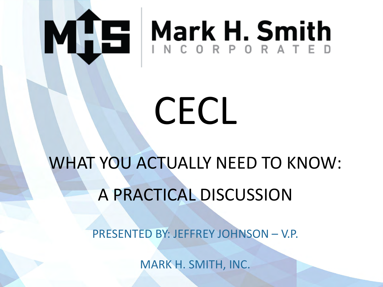

**© 2020 Mark H. Smith, Inc. CECL**

*All rights reserved*

# MHE Mark H. Smith

### **Presented by: CECL**

WHAT YOU ACTUALLY NEED TO KNOW: A PRACTICAL DISCUSSION

PRESENTED BY: JEFFREY JOHNSON – V.P.

*Webinar will begin on the hour*

WWW.MARKHSMITH.COM MARK H. SMITH, INC.

**Page 0**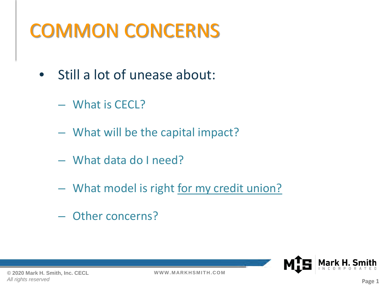### COMMON CONCERNS

- Still a lot of unease about:
	- What is CECL?
	- What will be the capital impact?
	- What data do I need?
	- What model is right for my credit union?
	- Other concerns?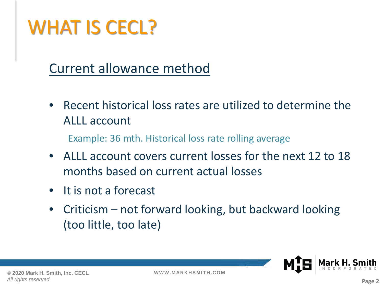### WHAT IS CECL?

#### Current allowance method

• Recent historical loss rates are utilized to determine the ALLL account

Example: 36 mth. Historical loss rate rolling average

- ALLL account covers current losses for the next 12 to 18 months based on current actual losses
- It is not a forecast
- Criticism not forward looking, but backward looking (too little, too late)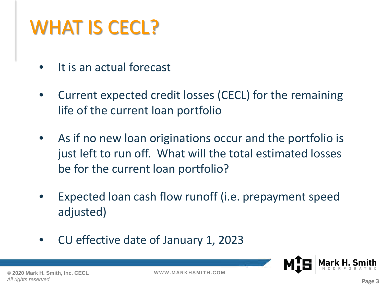### WHAT IS CECL?

- It is an actual forecast
- Current expected credit losses (CECL) for the remaining life of the current loan portfolio
- As if no new loan originations occur and the portfolio is just left to run off. What will the total estimated losses be for the current loan portfolio?
- Expected loan cash flow runoff (i.e. prepayment speed adjusted)
- CU effective date of January 1, 2023

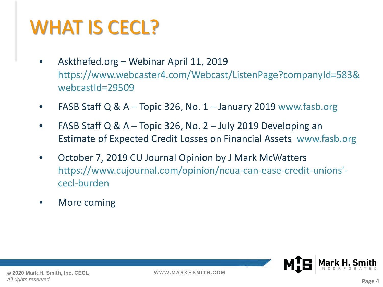### WHAT IS CECL?

- Askthefed.org Webinar April 11, 2019 https://www.webcaster4.com/Webcast/ListenPage?companyId=583& webcastId=29509
- FASB Staff Q &  $A$  Topic 326, No. 1 January 2019 www.fasb.org
- FASB Staff Q &  $A$  Topic 326, No. 2 July 2019 Developing an Estimate of Expected Credit Losses on Financial Assets www.fasb.org
- October 7, 2019 CU Journal Opinion by J Mark McWatters https://www.cujournal.com/opinion/ncua-can-ease-credit-unions' cecl-burden
- More coming

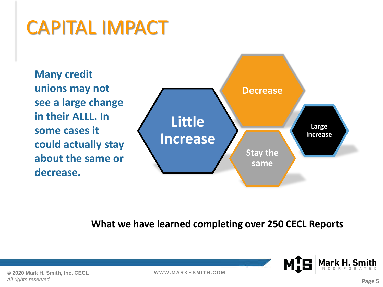### CAPITAL IMPACT

**Many credit unions may not see a large change in their ALLL. In some cases it could actually stay about the same or decrease.**



**What we have learned completing over 250 CECL Reports**

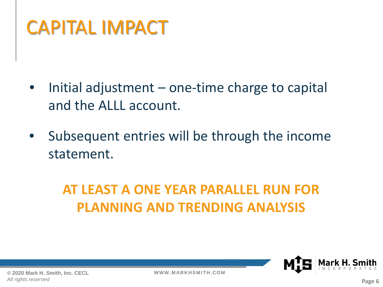### CAPITAL IMPACT

- Initial adjustment  $-$  one-time charge to capital and the ALLL account.
- Subsequent entries will be through the income statement.

#### **AT LEAST A ONE YEAR PARALLEL RUN FOR PLANNING AND TRENDING ANALYSIS**

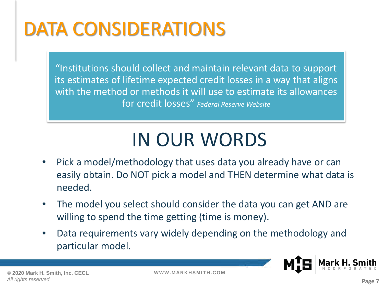### DATA CONSIDERATIONS

"Institutions should collect and maintain relevant data to support its estimates of lifetime expected credit losses in a way that aligns with the method or methods it will use to estimate its allowances for credit losses" *Federal Reserve Website*

### IN OUR WORDS

- Pick a model/methodology that uses data you already have or can easily obtain. Do NOT pick a model and THEN determine what data is needed.
- The model you select should consider the data you can get AND are willing to spend the time getting (time is money).
- Data requirements vary widely depending on the methodology and particular model.

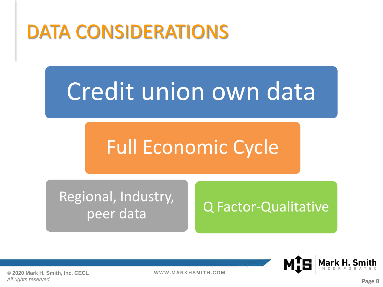### DATA CONSIDERATIONS

## Credit union own data

### Full Economic Cycle

Regional, Industry,

### peer data and Q Factor-Qualitative



**© 2020 Mark H. Smith, Inc. CECL** *All rights reserved*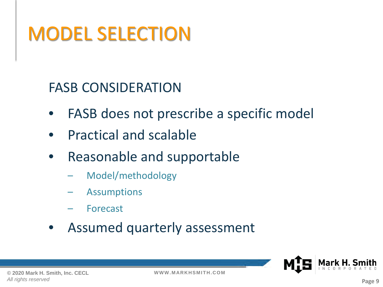#### FASB CONSIDERATION

- FASB does not prescribe a specific model
- Practical and scalable
- Reasonable and supportable
	- Model/methodology
	- **Assumptions**
	- **Forecast**
- Assumed quarterly assessment

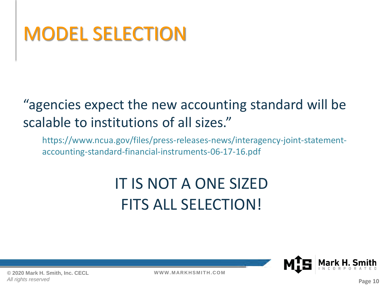#### "agencies expect the new accounting standard will be scalable to institutions of all sizes."

https://www.ncua.gov/files/press-releases-news/interagency-joint-statementaccounting-standard-financial-instruments-06-17-16.pdf

### IT IS NOT A ONE SIZED FITS ALL SELECTION!

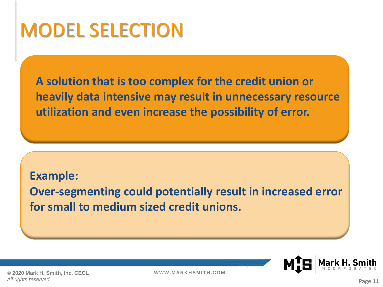**A solution that is too complex for the credit union or heavily data intensive may result in unnecessary resource utilization and even increase the possibility of error.**

**Example: Over-segmenting could potentially result in increased error for small to medium sized credit unions.**

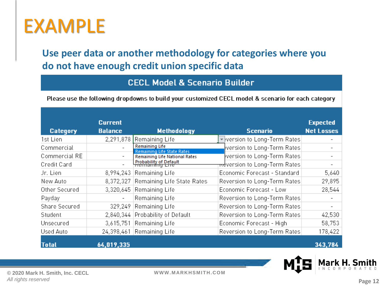### EXAMPLE

**Use peer data or another methodology for categories where you do not have enough credit union specific data**

**CECL Model & Scenario Builder** 

Please use the following dropdowns to build your customized CECL model & scenario for each category

|                 | <b>Current</b>           |                                                            |                                          | <b>Expected</b>   |
|-----------------|--------------------------|------------------------------------------------------------|------------------------------------------|-------------------|
| <b>Category</b> | <b>Balance</b>           | <b>Methodology</b>                                         | <b>Scenario</b>                          | <b>Net Losses</b> |
| 1st Lien        |                          | 2,291,878 Remaining Life                                   | version to Long-Term Rates               |                   |
| Commercial      |                          | <b>Remaining Life</b><br><b>Remaining Life State Rates</b> | version to Long-Term Rates               | -                 |
| Commercial RE   | $\overline{\phantom{a}}$ | <b>Remaining Life National Rates</b>                       | version to Long-Term Rates               | -                 |
| Credit Card     |                          | <b>Probability of Default</b>                              | <del>nd</del> version to Long-Term Rates | -                 |
| Jr. Lien        |                          | 8,994,243 Remaining Life                                   | Economic Forecast - Standard             | 5,640             |
| New Auto        |                          | 8,372,327 Remaining Life State Rates                       | Reversion to Long-Term Rates             | 29,895            |
| Other Secured   | 3,320,645                | Remaining Life                                             | Economic Forecast - Low                  | 28,544            |
| Payday          | $\overline{\phantom{a}}$ | Remaining Life                                             | Reversion to Long-Term Rates             |                   |
| Share Secured   |                          | 329,249 Remaining Life                                     | Reversion to Long-Term Rates             | -                 |
| Student         | 2,840,344                | Probability of Default                                     | Reversion to Long-Term Rates             | 42,530            |
| Unsecured       |                          | 3,615,751 Remaining Life                                   | Economic Forecast - High                 | 58,753            |
| Used Auto       |                          | 24,398,461 Remaining Life                                  | Reversion to Long-Term Rates             | 178,422           |
| <b>Total</b>    | 64,019,335               |                                                            |                                          | 343,784           |

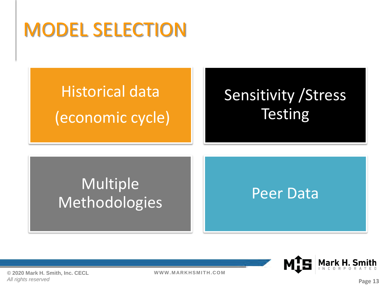### Historical data (economic cycle)

### Sensitivity /Stress **Testing**

#### Multiple Methodologies | Peer Data



**© 2020 Mark H. Smith, Inc. CECL** *All rights reserved*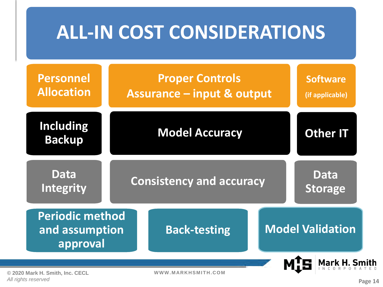|                                                      | <b>ALL-IN COST CONSIDERATIONS</b>                               |  |                                    |
|------------------------------------------------------|-----------------------------------------------------------------|--|------------------------------------|
| <b>Personnel</b><br><b>Allocation</b>                | <b>Proper Controls</b><br><b>Assurance - input &amp; output</b> |  | <b>Software</b><br>(if applicable) |
| <b>Including</b><br><b>Backup</b>                    | <b>Model Accuracy</b>                                           |  | <b>Other IT</b>                    |
| Data<br>Integrity                                    | <b>Consistency and accuracy</b>                                 |  | <b>Data</b><br><b>Storage</b>      |
| <b>Periodic method</b><br>and assumption<br>approval | <b>Back-testing</b>                                             |  | <b>Model Validation</b>            |
| 0 Mark H. Smith, Inc. CECL                           | WWW.MARKHSMITH.COM                                              |  |                                    |

**© 2020 Mark H. Smith, Inc. CECL** *All rights reserved*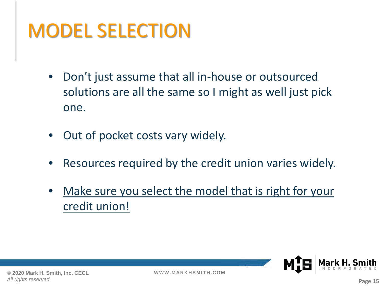- Don't just assume that all in-house or outsourced solutions are all the same so I might as well just pick one.
- Out of pocket costs vary widely.
- Resources required by the credit union varies widely.
- Make sure you select the model that is right for your credit union!

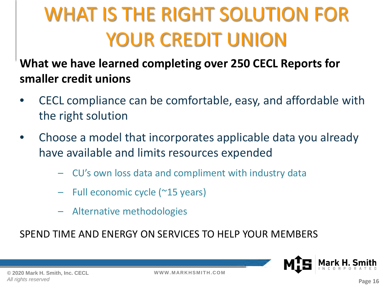### WHAT IS THE RIGHT SOLUTION FOR YOUR CREDIT UNION

#### **What we have learned completing over 250 CECL Reports for smaller credit unions**

- CECL compliance can be comfortable, easy, and affordable with the right solution
- Choose a model that incorporates applicable data you already have available and limits resources expended
	- CU's own loss data and compliment with industry data
	- Full economic cycle (~15 years)
	- Alternative methodologies

SPEND TIME AND ENERGY ON SERVICES TO HELP YOUR MEMBERS